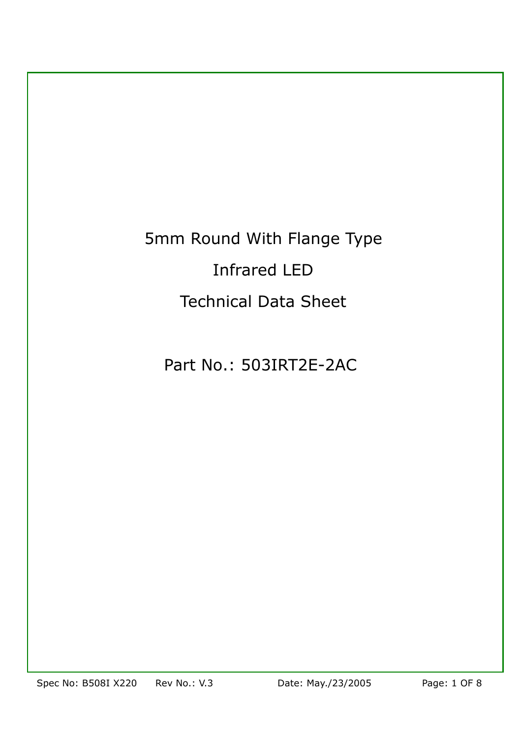# 5mm Round With Flange Type Infrared LED Technical Data Sheet

## Part No.: 503IRT2E-2AC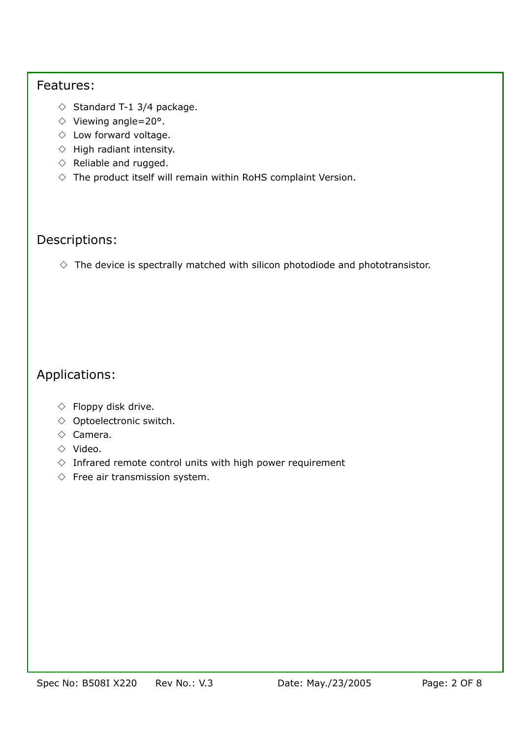#### Features:

- $\Diamond$  Standard T-1 3/4 package.
- ◇ Standard T-1 3/4 package.<br>◇ Viewing angle=20°.
- ◇ Low forward voltage. ◇ Low forward voltage.
- ◇ Emiter Referred Voltage.<br>◇ High radiant intensity.
- ◇ Pingin rediging interior.
- ◇ Reliable and rugged  $\diamond$  The product itself will remain within RoHS complaint Version.

## Descriptions:

 $\diamond$  The device is spectrally matched with silicon photodiode and phototransistor.

## Applications:

- ◇ Floppy disk drive ◇ Floppy disk drive.
- $\diamond$  Optoelectronic switch.
- ◇ Camera ◇ Camera.
- $\Diamond$  Video.
- $\Diamond$  Infrared remote control units with high power requirement
- $\diamond$  Free air transmission system.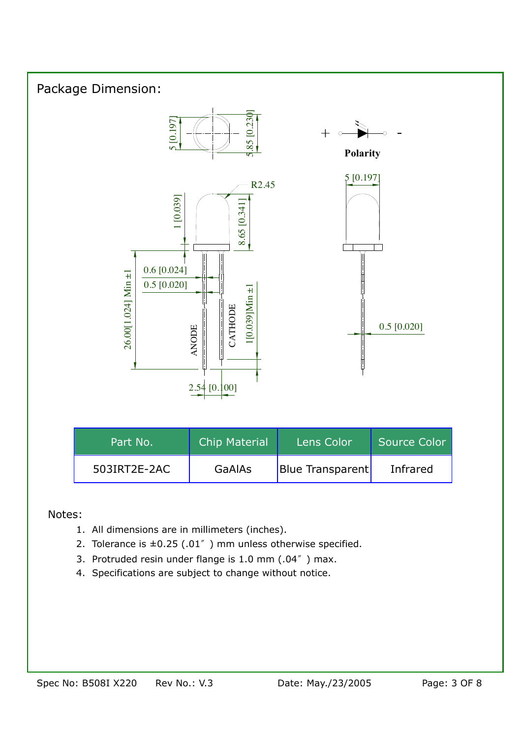

#### Notes:

- 1. All dimensions are in millimeters (inches).
- 2. Tolerance is  $\pm 0.25$  (.01<sup> $''$ </sup>) mm unless otherwise specified.
- 3. Protruded resin under flange is 1.0 mm (.04<sup>™</sup>) max.
- 4. Specifications are subject to change without notice.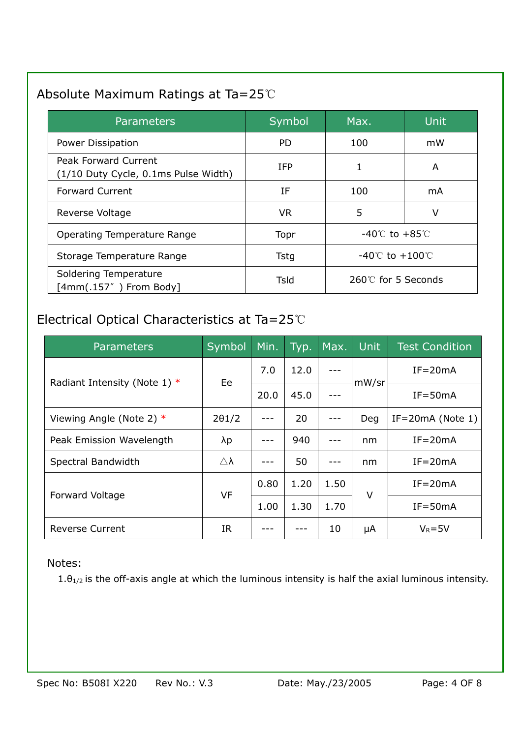## Absolute Maximum Ratings at Ta=25℃

| <b>Parameters</b>                                            | Symbol      | Max.                                | Unit |
|--------------------------------------------------------------|-------------|-------------------------------------|------|
| Power Dissipation                                            | PD.         | 100                                 | mW   |
| Peak Forward Current<br>(1/10 Duty Cycle, 0.1ms Pulse Width) | <b>IFP</b>  | 1                                   | A    |
| <b>Forward Current</b>                                       | ΙF          | 100                                 | mA   |
| Reverse Voltage                                              | <b>VR</b>   | 5                                   | v    |
| Operating Temperature Range                                  | Topr        | $-40^{\circ}$ to $+85^{\circ}$      |      |
| Storage Temperature Range                                    | <b>Tstg</b> | $-40^{\circ}$ C to $+100^{\circ}$ C |      |
| Soldering Temperature<br>$[4mm(.157"$ ) From Body]           | Tsld        | 260℃ for 5 Seconds                  |      |

## Electrical Optical Characteristics at Ta=25℃

| <b>Parameters</b>              | Symbol                | Min. | Typ. | Max. | <b>Unit</b> | <b>Test Condition</b> |
|--------------------------------|-----------------------|------|------|------|-------------|-----------------------|
| Radiant Intensity (Note 1) $*$ | Ee                    | 7.0  | 12.0 |      | mW/sr       | $IF = 20mA$           |
|                                |                       | 20.0 | 45.0 |      |             | $IF = 50mA$           |
| Viewing Angle (Note 2) $*$     | $2\theta$ 1/2         |      | 20   |      | Deg         | IF=20mA (Note $1$ )   |
| Peak Emission Wavelength       | λp                    |      | 940  |      | nm          | $IF = 20mA$           |
| Spectral Bandwidth             | $\triangle$ $\lambda$ |      | 50   |      | nm          | $IF = 20mA$           |
| <b>Forward Voltage</b>         | VF                    | 0.80 | 1.20 | 1.50 | V           | $IF = 20mA$           |
|                                |                       | 1.00 | 1.30 | 1.70 |             | $IF = 50mA$           |
| <b>Reverse Current</b>         | <b>IR</b>             |      |      | 10   | μA          | $V_R = 5V$            |

#### Notes:

 $1. \theta_{1/2}$  is the off-axis angle at which the luminous intensity is half the axial luminous intensity.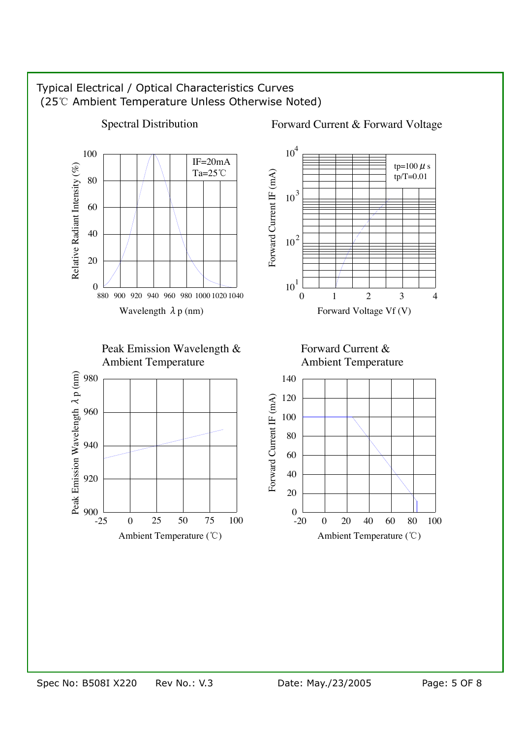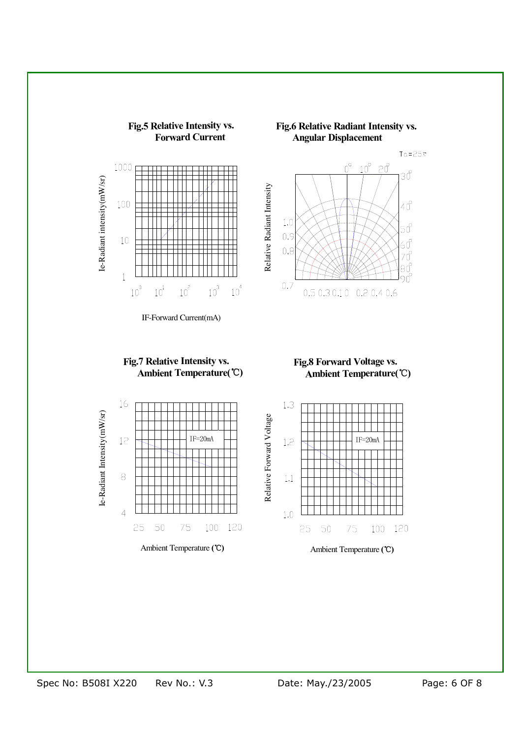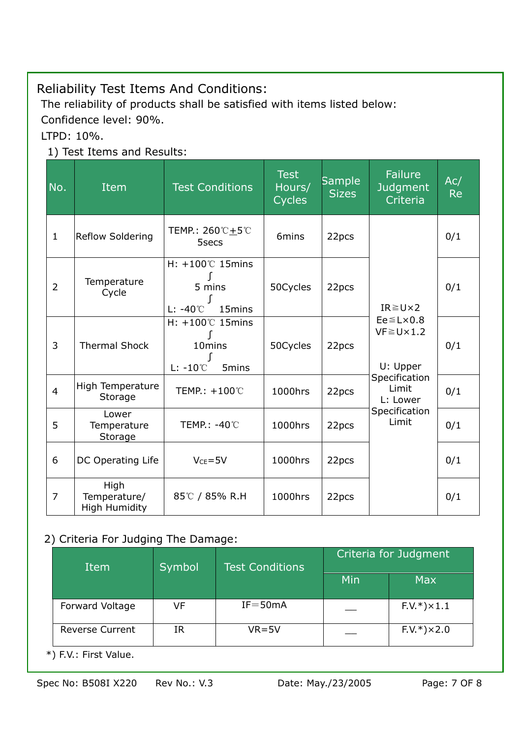## Reliability Test Items And Conditions:

The reliability of products shall be satisfied with items listed below:

Confidence level: 90%.

LTPD: 10%.

## 1) Test Items and Results:

| No.            | Item                                         | <b>Test Conditions</b>                                                             | <b>Test</b><br>Hours/<br><b>Cycles</b> | <b>Sample</b><br><b>Sizes</b> | <b>Failure</b><br><b>Judgment</b><br>Criteria               | Ac/<br><b>Re</b> |
|----------------|----------------------------------------------|------------------------------------------------------------------------------------|----------------------------------------|-------------------------------|-------------------------------------------------------------|------------------|
| $\mathbf{1}$   | <b>Reflow Soldering</b>                      | TEMP.: $260^{\circ}C + 5^{\circ}C$<br>5secs                                        | 6mins                                  | 22pcs                         |                                                             | 0/1              |
| $\overline{2}$ | Temperature<br>Cycle                         | H: +100℃ 15mins<br>5 mins<br>ſ<br>L: $-40^{\circ}$ C<br>15 <sub>mins</sub>         | 50Cycles                               | 22pcs                         | $IR \geq U \times 2$                                        | 0/1              |
| 3              | <b>Thermal Shock</b>                         | $H: +100^{\circ}$ 15mins<br>10mins<br>ſ<br>$L: -10^{\circ}$ C<br>5 <sub>mins</sub> | 50Cycles                               | 22pcs                         | $Ee \leq L \times 0.8$<br>$VF \ge U \times 1.2$<br>U: Upper | 0/1              |
| $\overline{4}$ | High Temperature<br>Storage                  | TEMP.: +100℃                                                                       | 1000hrs                                | 22pcs                         | Specification<br>Limit<br>L: Lower                          | 0/1              |
| 5              | Lower<br>Temperature<br>Storage              | TEMP.: -40℃                                                                        | 1000hrs                                | 22pcs                         | Specification<br>Limit                                      | 0/1              |
| 6              | DC Operating Life                            | $V_{CE} = 5V$                                                                      |                                        | 22pcs                         |                                                             | 0/1              |
| $\overline{7}$ | High<br>Temperature/<br><b>High Humidity</b> | 85℃ / 85% R.H                                                                      | 1000hrs                                | 22pcs                         |                                                             | 0/1              |

#### 2) Criteria For Judging The Damage:

| Item                   | Symbol | <b>Test Conditions</b> | Criteria for Judgment |                        |  |
|------------------------|--------|------------------------|-----------------------|------------------------|--|
|                        |        |                        | Min                   | <b>Max</b>             |  |
| Forward Voltage        | VF     | $IF = 50mA$            |                       | $F.V.*$ ) $\times 1.1$ |  |
| <b>Reverse Current</b> | IR     | $VR = 5V$              |                       | $F.V.*$ )×2.0          |  |

\*) F.V.: First Value.